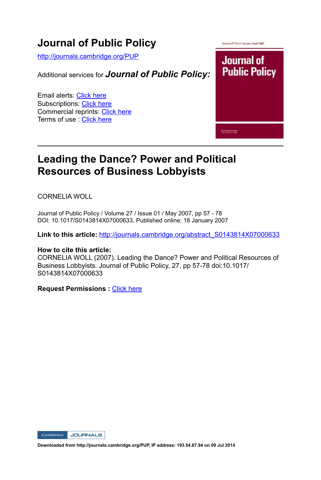# **Journal of Public Policy**

http://journals.cambridge.org/PUP

Additional services for *Journal of Public Policy:*

Email alerts: Click here Subscriptions: Click here Commercial reprints: Click here Terms of use : Click here



# **Leading the Dance? Power and Political Resources of Business Lobbyists**

CORNELIA WOLL

Journal of Public Policy / Volume 27 / Issue 01 / May 2007, pp 57 - 78 DOI: 10.1017/S0143814X07000633, Published online: 18 January 2007

**Link to this article:** http://journals.cambridge.org/abstract\_S0143814X07000633

#### **How to cite this article:**

CORNELIA WOLL (2007). Leading the Dance? Power and Political Resources of Business Lobbyists. Journal of Public Policy, 27, pp 57-78 doi:10.1017/ S0143814X07000633

**Request Permissions :** Click here

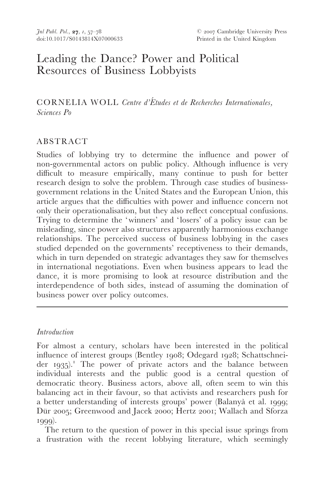# Leading the Dance? Power and Political Resources of Business Lobbyists

CORNELIA WOLL *Centre d'E*u*tudes et de Recherches Internationales, Sciences Po*

# ABSTRACT

Studies of lobbying try to determine the influence and power of non-governmental actors on public policy. Although influence is very difficult to measure empirically, many continue to push for better research design to solve the problem. Through case studies of businessgovernment relations in the United States and the European Union, this article argues that the difficulties with power and influence concern not only their operationalisation, but they also reflect conceptual confusions. Trying to determine the 'winners' and 'losers' of a policy issue can be misleading, since power also structures apparently harmonious exchange relationships. The perceived success of business lobbying in the cases studied depended on the governments' receptiveness to their demands, which in turn depended on strategic advantages they saw for themselves in international negotiations. Even when business appears to lead the dance, it is more promising to look at resource distribution and the interdependence of both sides, instead of assuming the domination of business power over policy outcomes.

# *Introduction*

For almost a century, scholars have been interested in the political influence of interest groups (Bentley 1908; Odegard 1928; Schattschneider 1935).<sup>1</sup> The power of private actors and the balance between individual interests and the public good is a central question of democratic theory. Business actors, above all, often seem to win this balancing act in their favour, so that activists and researchers push for a better understanding of interests groups' power (Balanyà et al. 1999; Dür 2005; Greenwood and Jacek 2000; Hertz 2001; Wallach and Sforza 1999).

The return to the question of power in this special issue springs from a frustration with the recent lobbying literature, which seemingly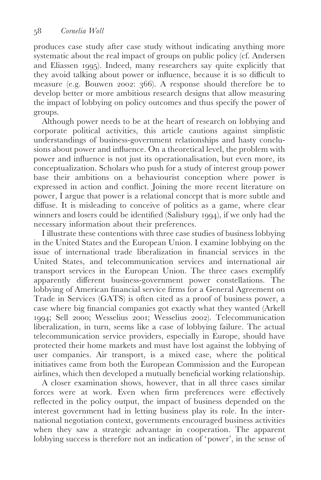produces case study after case study without indicating anything more systematic about the real impact of groups on public policy (cf. Andersen and Eliassen 1995). Indeed, many researchers say quite explicitly that they avoid talking about power or influence, because it is so difficult to measure (e.g. Bouwen 2002: 366). A response should therefore be to develop better or more ambitious research designs that allow measuring the impact of lobbying on policy outcomes and thus specify the power of groups.

Although power needs to be at the heart of research on lobbying and corporate political activities, this article cautions against simplistic understandings of business-government relationships and hasty conclusions about power and influence. On a theoretical level, the problem with power and influence is not just its operationalisation, but even more, its conceptualization. Scholars who push for a study of interest group power base their ambitions on a behaviourist conception where power is expressed in action and conflict. Joining the more recent literature on power, I argue that power is a relational concept that is more subtle and diffuse. It is misleading to conceive of politics as a game, where clear winners and losers could be identified (Salisbury 1994), if we only had the necessary information about their preferences.

I illustrate these contentions with three case studies of business lobbying in the United States and the European Union. I examine lobbying on the issue of international trade liberalization in financial services in the United States, and telecommunication services and international air transport services in the European Union. The three cases exemplify apparently different business-government power constellations. The lobbying of American financial service firms for a General Agreement on Trade in Services (GATS) is often cited as a proof of business power, a case where big financial companies got exactly what they wanted (Arkell 1994; Sell 2000; Wesselius 2001; Wesselius 2002). Telecommunication liberalization, in turn, seems like a case of lobbying failure. The actual telecommunication service providers, especially in Europe, should have protected their home markets and must have lost against the lobbying of user companies. Air transport, is a mixed case, where the political initiatives came from both the European Commission and the European airlines, which then developed a mutually beneficial working relationship.

A closer examination shows, however, that in all three cases similar forces were at work. Even when firm preferences were effectively reflected in the policy output, the impact of business depended on the interest government had in letting business play its role. In the international negotiation context, governments encouraged business activities when they saw a strategic advantage in cooperation. The apparent lobbying success is therefore not an indication of 'power', in the sense of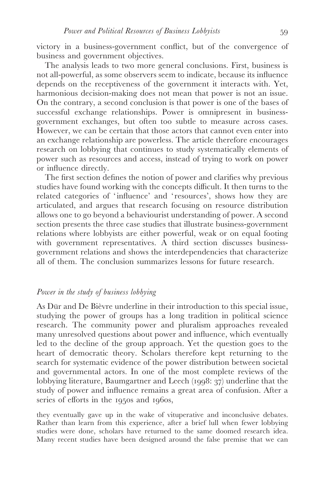victory in a business-government conflict, but of the convergence of business and government objectives.

The analysis leads to two more general conclusions. First, business is not all-powerful, as some observers seem to indicate, because its influence depends on the receptiveness of the government it interacts with. Yet, harmonious decision-making does not mean that power is not an issue. On the contrary, a second conclusion is that power is one of the bases of successful exchange relationships. Power is omnipresent in businessgovernment exchanges, but often too subtle to measure across cases. However, we can be certain that those actors that cannot even enter into an exchange relationship are powerless. The article therefore encourages research on lobbying that continues to study systematically elements of power such as resources and access, instead of trying to work on power or influence directly.

The first section defines the notion of power and clarifies why previous studies have found working with the concepts difficult. It then turns to the related categories of 'influence' and 'resources', shows how they are articulated, and argues that research focusing on resource distribution allows one to go beyond a behaviourist understanding of power. A second section presents the three case studies that illustrate business-government relations where lobbyists are either powerful, weak or on equal footing with government representatives. A third section discusses businessgovernment relations and shows the interdependencies that characterize all of them. The conclusion summarizes lessons for future research.

#### *Power in the study of business lobbying*

As Dür and De Bièvre underline in their introduction to this special issue, studying the power of groups has a long tradition in political science research. The community power and pluralism approaches revealed many unresolved questions about power and influence, which eventually led to the decline of the group approach. Yet the question goes to the heart of democratic theory. Scholars therefore kept returning to the search for systematic evidence of the power distribution between societal and governmental actors. In one of the most complete reviews of the lobbying literature, Baumgartner and Leech ( $1998: 37$ ) underline that the study of power and influence remains a great area of confusion. After a series of efforts in the  $1950s$  and  $1960s$ ,

they eventually gave up in the wake of vituperative and inconclusive debates. Rather than learn from this experience, after a brief lull when fewer lobbying studies were done, scholars have returned to the same doomed research idea. Many recent studies have been designed around the false premise that we can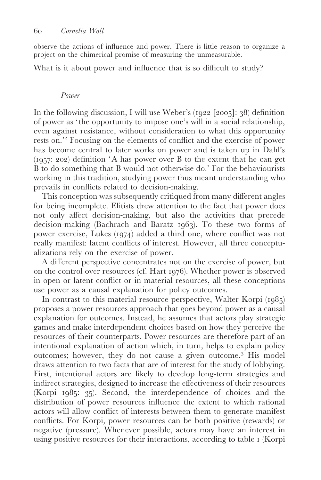observe the actions of influence and power. There is little reason to organize a project on the chimerical promise of measuring the unmeasurable.

What is it about power and influence that is so difficult to study?

#### *Power*

In the following discussion, I will use Weber's  $(q_{22} [2005]: 38)$  definition of power as 'the opportunity to impose one's will in a social relationship, even against resistance, without consideration to what this opportunity rests on.<sup>32</sup> Focusing on the elements of conflict and the exercise of power has become central to later works on power and is taken up in Dahl's  $(1957: 202)$  definition 'A has power over B to the extent that he can get B to do something that B would not otherwise do.' For the behaviourists working in this tradition, studying power thus meant understanding who prevails in conflicts related to decision-making.

This conception was subsequently critiqued from many different angles for being incomplete. Elitists drew attention to the fact that power does not only affect decision-making, but also the activities that precede decision-making (Bachrach and Baratz 1963). To these two forms of power exercise, Lukes  $(1974)$  added a third one, where conflict was not really manifest: latent conflicts of interest. However, all three conceptualizations rely on the exercise of power.

A different perspective concentrates not on the exercise of power, but on the control over resources (cf. Hart 1976). Whether power is observed in open or latent conflict or in material resources, all these conceptions use power as a causal explanation for policy outcomes.

In contrast to this material resource perspective, Walter Korpi  $(1985)$ proposes a power resources approach that goes beyond power as a causal explanation for outcomes. Instead, he assumes that actors play strategic games and make interdependent choices based on how they perceive the resources of their counterparts. Power resources are therefore part of an intentional explanation of action which, in turn, helps to explain policy outcomes; however, they do not cause a given outcome.<sup>3</sup> His model draws attention to two facts that are of interest for the study of lobbying. First, intentional actors are likely to develop long-term strategies and indirect strategies, designed to increase the effectiveness of their resources (Korpi  $1985$ :  $35$ ). Second, the interdependence of choices and the distribution of power resources influence the extent to which rational actors will allow conflict of interests between them to generate manifest conflicts. For Korpi, power resources can be both positive (rewards) or negative (pressure). Whenever possible, actors may have an interest in using positive resources for their interactions, according to table (Korpi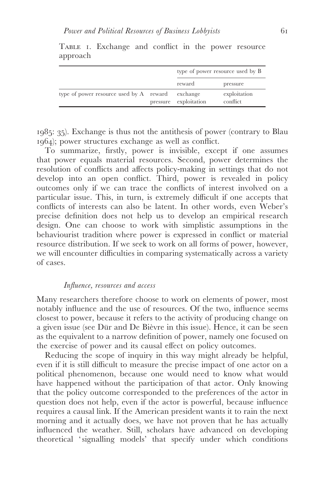|                                         | type of power resource used by B  |                          |
|-----------------------------------------|-----------------------------------|--------------------------|
|                                         | reward                            | pressure                 |
| type of power resource used by A reward | exchange<br>pressure exploitation | exploitation<br>conflict |

TABLE I. Exchange and conflict in the power resource approach

 $1985$ : 35). Exchange is thus not the antithesis of power (contrary to Blau ); power structures exchange as well as conflict.

To summarize, firstly, power is invisible, except if one assumes that power equals material resources. Second, power determines the resolution of conflicts and affects policy-making in settings that do not develop into an open conflict. Third, power is revealed in policy outcomes only if we can trace the conflicts of interest involved on a particular issue. This, in turn, is extremely difficult if one accepts that conflicts of interests can also be latent. In other words, even Weber's precise definition does not help us to develop an empirical research design. One can choose to work with simplistic assumptions in the behaviourist tradition where power is expressed in conflict or material resource distribution. If we seek to work on all forms of power, however, we will encounter difficulties in comparing systematically across a variety of cases.

#### *Influence, resources and access*

Many researchers therefore choose to work on elements of power, most notably influence and the use of resources. Of the two, influence seems closest to power, because it refers to the activity of producing change on a given issue (see Dür and De Bièvre in this issue). Hence, it can be seen as the equivalent to a narrow definition of power, namely one focused on the exercise of power and its causal effect on policy outcomes.

Reducing the scope of inquiry in this way might already be helpful, even if it is still difficult to measure the precise impact of one actor on a political phenomenon, because one would need to know what would have happened without the participation of that actor. Only knowing that the policy outcome corresponded to the preferences of the actor in question does not help, even if the actor is powerful, because influence requires a causal link. If the American president wants it to rain the next morning and it actually does, we have not proven that he has actually influenced the weather. Still, scholars have advanced on developing theoretical 'signalling models' that specify under which conditions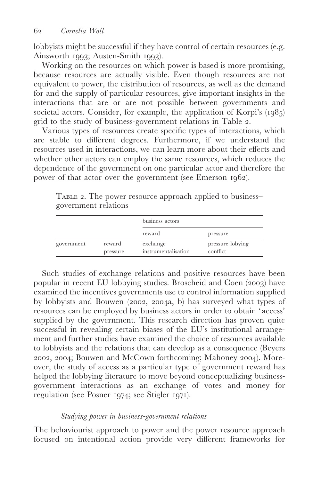lobbyists might be successful if they have control of certain resources (e.g. Ainsworth 1993; Austen-Smith 1993).

Working on the resources on which power is based is more promising, because resources are actually visible. Even though resources are not equivalent to power, the distribution of resources, as well as the demand for and the supply of particular resources, give important insights in the interactions that are or are not possible between governments and societal actors. Consider, for example, the application of Korpi's  $(1985)$ grid to the study of business-government relations in Table 2.

Various types of resources create specific types of interactions, which are stable to different degrees. Furthermore, if we understand the resources used in interactions, we can learn more about their effects and whether other actors can employ the same resources, which reduces the dependence of the government on one particular actor and therefore the power of that actor over the government (see Emerson  $1962$ ).

|            |                    | business actors                 |                              |  |  |
|------------|--------------------|---------------------------------|------------------------------|--|--|
|            |                    | reward                          | pressure                     |  |  |
| government | reward<br>pressure | exchange<br>instrumentalisation | pressure lobying<br>conflict |  |  |

TABLE 2. The power resource approach applied to business– government relations

Such studies of exchange relations and positive resources have been popular in recent EU lobbying studies. Broscheid and Coen (2003) have examined the incentives governments use to control information supplied by lobbyists and Bouwen (2002, 2004a, b) has surveyed what types of resources can be employed by business actors in order to obtain 'access' supplied by the government. This research direction has proven quite successful in revealing certain biases of the EU's institutional arrangement and further studies have examined the choice of resources available to lobbyists and the relations that can develop as a consequence (Beyers 2002, 2004; Bouwen and McCown forthcoming; Mahoney 2004). Moreover, the study of access as a particular type of government reward has helped the lobbying literature to move beyond conceptualizing businessgovernment interactions as an exchange of votes and money for regulation (see Posner 1974; see Stigler 1971).

### *Studying power in business-government relations*

The behaviourist approach to power and the power resource approach focused on intentional action provide very different frameworks for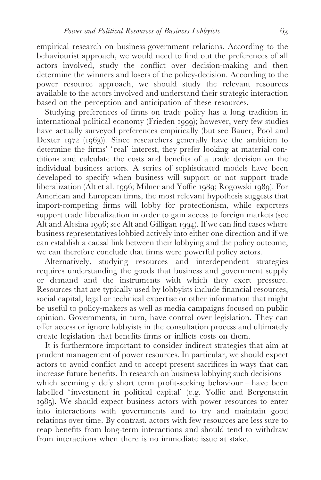empirical research on business-government relations. According to the behaviourist approach, we would need to find out the preferences of all actors involved, study the conflict over decision-making and then determine the winners and losers of the policy-decision. According to the power resource approach, we should study the relevant resources available to the actors involved and understand their strategic interaction based on the perception and anticipation of these resources.

Studying preferences of firms on trade policy has a long tradition in international political economy (Frieden 1999); however, very few studies have actually surveyed preferences empirically (but see Bauer, Pool and Dexter  $(q\bar{q}q)$ . Since researchers generally have the ambition to determine the firms' 'real' interest, they prefer looking at material conditions and calculate the costs and benefits of a trade decision on the individual business actors. A series of sophisticated models have been developed to specify when business will support or not support trade liberalization (Alt et al. 1996; Milner and Yoffie 1989; Rogowski 1989). For American and European firms, the most relevant hypothesis suggests that import-competing firms will lobby for protectionism, while exporters support trade liberalization in order to gain access to foreign markets (see Alt and Alesina 1996; see Alt and Gilligan 1994). If we can find cases where business representatives lobbied actively into either one direction and if we can establish a causal link between their lobbying and the policy outcome, we can therefore conclude that firms were powerful policy actors.

Alternatively, studying resources and interdependent strategies requires understanding the goods that business and government supply or demand and the instruments with which they exert pressure. Resources that are typically used by lobbyists include financial resources, social capital, legal or technical expertise or other information that might be useful to policy-makers as well as media campaigns focused on public opinion. Governments, in turn, have control over legislation. They can offer access or ignore lobbyists in the consultation process and ultimately create legislation that benefits firms or inflicts costs on them.

It is furthermore important to consider indirect strategies that aim at prudent management of power resources. In particular, we should expect actors to avoid conflict and to accept present sacrifices in ways that can increase future benefits. In research on business lobbying such decisions – which seemingly defy short term profit-seeking behaviour – have been labelled 'investment in political capital' (e.g. Yoffie and Bergenstein ). We should expect business actors with power resources to enter into interactions with governments and to try and maintain good relations over time. By contrast, actors with few resources are less sure to reap benefits from long-term interactions and should tend to withdraw from interactions when there is no immediate issue at stake.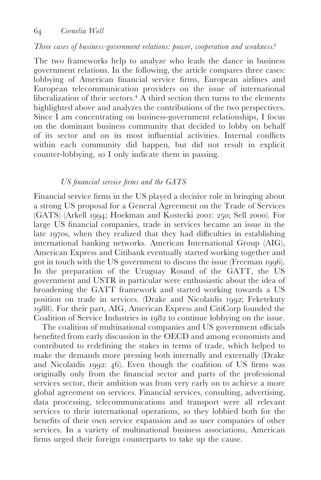### *Three cases of business-government relations: power, cooperation and weakness?*

The two frameworks help to analyze who leads the dance in business government relations. In the following, the article compares three cases: lobbying of American financial service firms, European airlines and European telecommunication providers on the issue of international liberalization of their sectors. $4A$  third section then turns to the elements highlighted above and analyzes the contributions of the two perspectives. Since I am concentrating on business-government relationships, I focus on the dominant business community that decided to lobby on behalf of its sector and on its most influential activities. Internal conflicts within each community did happen, but did not result in explicit counter-lobbying, so I only indicate them in passing.

#### *US financial service firms and the GATS*

Financial service firms in the US played a decisive role in bringing about a strong US proposal for a General Agreement on the Trade of Services  $(GATS)$  (Arkell 1994; Hoekman and Kostecki 2001; 250; Sell 2000). For large US financial companies, trade in services became an issue in the late 1970s, when they realized that they had difficulties in establishing international banking networks. American International Group (AIG), American Express and Citibank eventually started working together and got in touch with the US government to discuss the issue (Freeman 1996). In the preparation of the Uruguay Round of the GATT, the US government and USTR in particular were enthusiastic about the idea of broadening the GATT framework and started working towards a US position on trade in services. (Drake and Nicolaïdis 1992; Feketekuty ). For their part, AIG, American Express and CitiCorp founded the Coalition of Service Industries in 1982 to continue lobbying on the issue.

The coalition of multinational companies and US government officials benefited from early discussion in the OECD and among economists and contributed to redefining the stakes in terms of trade, which helped to make the demands more pressing both internally and externally (Drake and Nicolaïdis 1992:  $46$ ). Even though the coalition of US firms was originally only from the financial sector and parts of the professional services sector, their ambition was from very early on to achieve a more global agreement on services. Financial services, consulting, advertising, data processing, telecommunications and transport were all relevant services to their international operations, so they lobbied both for the benefits of their own service expansion and as user companies of other services. In a variety of multinational business associations, American firms urged their foreign counterparts to take up the cause.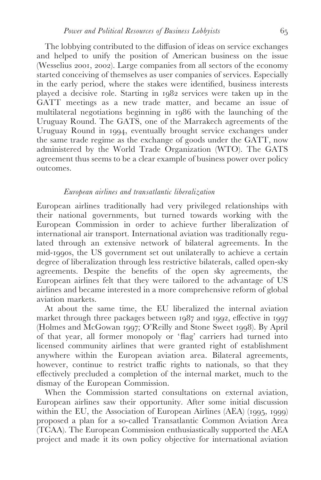The lobbying contributed to the diffusion of ideas on service exchanges and helped to unify the position of American business on the issue (Wesselius 2001, 2002). Large companies from all sectors of the economy started conceiving of themselves as user companies of services. Especially in the early period, where the stakes were identified, business interests played a decisive role. Starting in 1982 services were taken up in the GATT meetings as a new trade matter, and became an issue of multilateral negotiations beginning in  $1086$  with the launching of the Uruguay Round. The GATS, one of the Marrakech agreements of the Uruguay Round in 1994, eventually brought service exchanges under the same trade regime as the exchange of goods under the GATT, now administered by the World Trade Organization (WTO). The GATS agreement thus seems to be a clear example of business power over policy outcomes.

#### *European airlines and transatlantic liberalization*

European airlines traditionally had very privileged relationships with their national governments, but turned towards working with the European Commission in order to achieve further liberalization of international air transport. International aviation was traditionally regulated through an extensive network of bilateral agreements. In the mid-1990s, the US government set out unilaterally to achieve a certain degree of liberalization through less restrictive bilaterals, called open-sky agreements. Despite the benefits of the open sky agreements, the European airlines felt that they were tailored to the advantage of US airlines and became interested in a more comprehensive reform of global aviation markets.

At about the same time, the EU liberalized the internal aviation market through three packages between  $1987$  and  $1992$ , effective in  $1997$ (Holmes and McGowan 1997; O'Reilly and Stone Sweet 1998). By April of that year, all former monopoly or 'flag' carriers had turned into licensed community airlines that were granted right of establishment anywhere within the European aviation area. Bilateral agreements, however, continue to restrict traffic rights to nationals, so that they effectively precluded a completion of the internal market, much to the dismay of the European Commission.

When the Commission started consultations on external aviation, European airlines saw their opportunity. After some initial discussion within the EU, the Association of European Airlines  $(AEA)$  (1995, 1999) proposed a plan for a so-called Transatlantic Common Aviation Area (TCAA). The European Commission enthusiastically supported the AEA project and made it its own policy objective for international aviation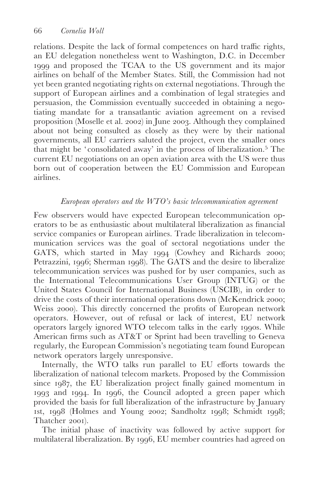relations. Despite the lack of formal competences on hard traffic rights, an EU delegation nonetheless went to Washington, D.C. in December and proposed the TCAA to the US government and its major airlines on behalf of the Member States. Still, the Commission had not yet been granted negotiating rights on external negotiations. Through the support of European airlines and a combination of legal strategies and persuasion, the Commission eventually succeeded in obtaining a negotiating mandate for a transatlantic aviation agreement on a revised proposition (Moselle et al. 2002) in June 2003. Although they complained about not being consulted as closely as they were by their national governments, all EU carriers saluted the project, even the smaller ones that might be 'consolidated away' in the process of liberalization. The current EU negotiations on an open aviation area with the US were thus born out of cooperation between the EU Commission and European airlines.

### *European operators and the WTO's basic telecommunication agreement*

Few observers would have expected European telecommunication operators to be as enthusiastic about multilateral liberalization as financial service companies or European airlines. Trade liberalization in telecommunication services was the goal of sectoral negotiations under the GATS, which started in May 1994 (Cowhey and Richards 2000; Petrazzini, 1996; Sherman 1998). The GATS and the desire to liberalize telecommunication services was pushed for by user companies, such as the International Telecommunications User Group (INTUG) or the United States Council for International Business (USCIB), in order to drive the costs of their international operations down (McKendrick 2000; Weiss 2000). This directly concerned the profits of European network operators. However, out of refusal or lack of interest, EU network operators largely ignored WTO telecom talks in the early 1990s. While American firms such as AT&T or Sprint had been travelling to Geneva regularly, the European Commission's negotiating team found European network operators largely unresponsive.

Internally, the WTO talks run parallel to EU efforts towards the liberalization of national telecom markets. Proposed by the Commission since 1987, the EU liberalization project finally gained momentum in 1993 and 1994. In 1996, the Council adopted a green paper which provided the basis for full liberalization of the infrastructure by January 1st, 1998 (Holmes and Young 2002; Sandholtz 1998; Schmidt 1998; Thatcher 2001).

The initial phase of inactivity was followed by active support for multilateral liberalization. By 1996, EU member countries had agreed on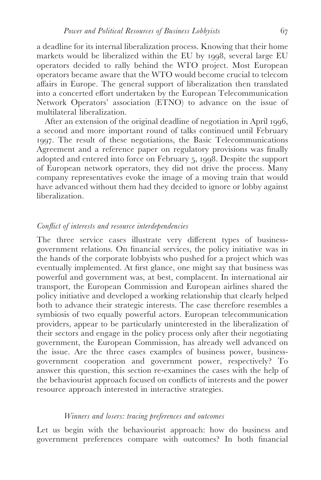a deadline for its internal liberalization process. Knowing that their home markets would be liberalized within the EU by 1998, several large EU operators decided to rally behind the WTO project. Most European operators became aware that the WTO would become crucial to telecom affairs in Europe. The general support of liberalization then translated into a concerted effort undertaken by the European Telecommunication Network Operators' association (ETNO) to advance on the issue of multilateral liberalization.

After an extension of the original deadline of negotiation in April 1996, a second and more important round of talks continued until February . The result of these negotiations, the Basic Telecommunications Agreement and a reference paper on regulatory provisions was finally adopted and entered into force on February 5, 1998. Despite the support of European network operators, they did not drive the process. Many company representatives evoke the image of a moving train that would have advanced without them had they decided to ignore or lobby against liberalization.

### *Conflict of interests and resource interdependencies*

The three service cases illustrate very different types of businessgovernment relations. On financial services, the policy initiative was in the hands of the corporate lobbyists who pushed for a project which was eventually implemented. At first glance, one might say that business was powerful and government was, at best, complacent. In international air transport, the European Commission and European airlines shared the policy initiative and developed a working relationship that clearly helped both to advance their strategic interests. The case therefore resembles a symbiosis of two equally powerful actors. European telecommunication providers, appear to be particularly uninterested in the liberalization of their sectors and engage in the policy process only after their negotiating government, the European Commission, has already well advanced on the issue. Are the three cases examples of business power, businessgovernment cooperation and government power, respectively? To answer this question, this section re-examines the cases with the help of the behaviourist approach focused on conflicts of interests and the power resource approach interested in interactive strategies.

# *Winners and losers: tracing preferences and outcomes*

Let us begin with the behaviourist approach: how do business and government preferences compare with outcomes? In both financial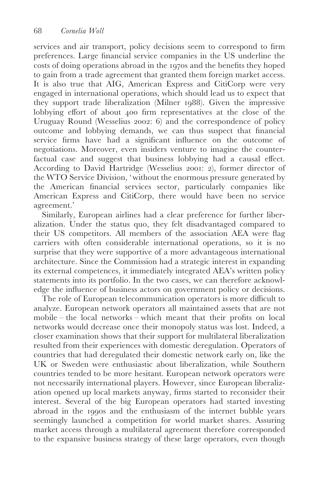services and air transport, policy decisions seem to correspond to firm preferences. Large financial service companies in the US underline the costs of doing operations abroad in the 1970s and the benefits they hoped to gain from a trade agreement that granted them foreign market access. It is also true that AIG, American Express and CitiCorp were very engaged in international operations, which should lead us to expect that they support trade liberalization (Milner 1988). Given the impressive lobbying effort of about 400 firm representatives at the close of the Uruguay Round (Wesselius 2002: 6) and the correspondence of policy outcome and lobbying demands, we can thus suspect that financial service firms have had a significant influence on the outcome of negotiations. Moreover, even insiders venture to imagine the counterfactual case and suggest that business lobbying had a causal effect. According to David Hartridge (Wesselius 2001: 2), former director of the WTO Service Division, 'without the enormous pressure generated by the American financial services sector, particularly companies like American Express and CitiCorp, there would have been no service agreement.'

Similarly, European airlines had a clear preference for further liberalization. Under the status quo, they felt disadvantaged compared to their US competitors. All members of the association AEA were flag carriers with often considerable international operations, so it is no surprise that they were supportive of a more advantageous international architecture. Since the Commission had a strategic interest in expanding its external competences, it immediately integrated AEA's written policy statements into its portfolio. In the two cases, we can therefore acknowledge the influence of business actors on government policy or decisions.

The role of European telecommunication operators is more difficult to analyze. European network operators all maintained assets that are not mobile – the local networks – which meant that their profits on local networks would decrease once their monopoly status was lost. Indeed, a closer examination shows that their support for multilateral liberalization resulted from their experiences with domestic deregulation. Operators of countries that had deregulated their domestic network early on, like the UK or Sweden were enthusiastic about liberalization, while Southern countries tended to be more hesitant. European network operators were not necessarily international players. However, since European liberalization opened up local markets anyway, firms started to reconsider their interest. Several of the big European operators had started investing abroad in the 1990s and the enthusiasm of the internet bubble years seemingly launched a competition for world market shares. Assuring market access through a multilateral agreement therefore corresponded to the expansive business strategy of these large operators, even though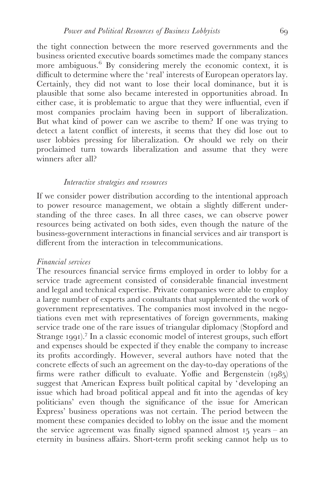the tight connection between the more reserved governments and the business oriented executive boards sometimes made the company stances more ambiguous.<sup>6</sup> By considering merely the economic context, it is difficult to determine where the ' real' interests of European operators lay. Certainly, they did not want to lose their local dominance, but it is plausible that some also became interested in opportunities abroad. In either case, it is problematic to argue that they were influential, even if most companies proclaim having been in support of liberalization. But what kind of power can we ascribe to them? If one was trying to detect a latent conflict of interests, it seems that they did lose out to user lobbies pressing for liberalization. Or should we rely on their proclaimed turn towards liberalization and assume that they were winners after all?

#### *Interactive strategies and resources*

If we consider power distribution according to the intentional approach to power resource management, we obtain a slightly different understanding of the three cases. In all three cases, we can observe power resources being activated on both sides, even though the nature of the business-government interactions in financial services and air transport is different from the interaction in telecommunications.

#### *Financial services*

The resources financial service firms employed in order to lobby for a service trade agreement consisted of considerable financial investment and legal and technical expertise. Private companies were able to employ a large number of experts and consultants that supplemented the work of government representatives. The companies most involved in the negotiations even met with representatives of foreign governments, making service trade one of the rare issues of triangular diplomacy (Stopford and Strange  $\text{iqq1}$ . In a classic economic model of interest groups, such effort and expenses should be expected if they enable the company to increase its profits accordingly. However, several authors have noted that the concrete effects of such an agreement on the day-to-day operations of the firms were rather difficult to evaluate. Yoffie and Bergenstein  $(1085)$ suggest that American Express built political capital by 'developing an issue which had broad political appeal and fit into the agendas of key politicians' even though the significance of the issue for American Express' business operations was not certain. The period between the moment these companies decided to lobby on the issue and the moment the service agreement was finally signed spanned almost  $15$  years – an eternity in business affairs. Short-term profit seeking cannot help us to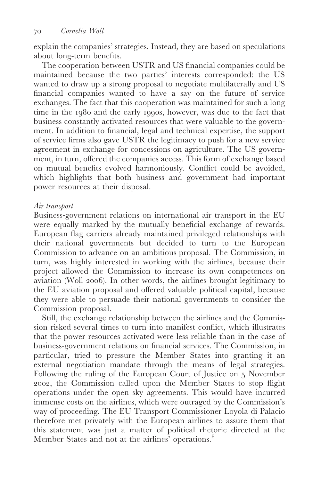explain the companies' strategies. Instead, they are based on speculations about long-term benefits.

The cooperation between USTR and US financial companies could be maintained because the two parties' interests corresponded: the US wanted to draw up a strong proposal to negotiate multilaterally and US financial companies wanted to have a say on the future of service exchanges. The fact that this cooperation was maintained for such a long time in the 1980 and the early 1990s, however, was due to the fact that business constantly activated resources that were valuable to the government. In addition to financial, legal and technical expertise, the support of service firms also gave USTR the legitimacy to push for a new service agreement in exchange for concessions on agriculture. The US government, in turn, offered the companies access. This form of exchange based on mutual benefits evolved harmoniously. Conflict could be avoided, which highlights that both business and government had important power resources at their disposal.

### *Air transport*

Business-government relations on international air transport in the EU were equally marked by the mutually beneficial exchange of rewards. European flag carriers already maintained privileged relationships with their national governments but decided to turn to the European Commission to advance on an ambitious proposal. The Commission, in turn, was highly interested in working with the airlines, because their project allowed the Commission to increase its own competences on aviation (Woll 2006). In other words, the airlines brought legitimacy to the EU aviation proposal and offered valuable political capital, because they were able to persuade their national governments to consider the Commission proposal.

Still, the exchange relationship between the airlines and the Commission risked several times to turn into manifest conflict, which illustrates that the power resources activated were less reliable than in the case of business-government relations on financial services. The Commission, in particular, tried to pressure the Member States into granting it an external negotiation mandate through the means of legal strategies. Following the ruling of the European Court of Justice on  $\frac{1}{2}$  November , the Commission called upon the Member States to stop flight operations under the open sky agreements. This would have incurred immense costs on the airlines, which were outraged by the Commission's way of proceeding. The EU Transport Commissioner Loyola di Palacio therefore met privately with the European airlines to assure them that this statement was just a matter of political rhetoric directed at the Member States and not at the airlines' operations.<sup>8</sup>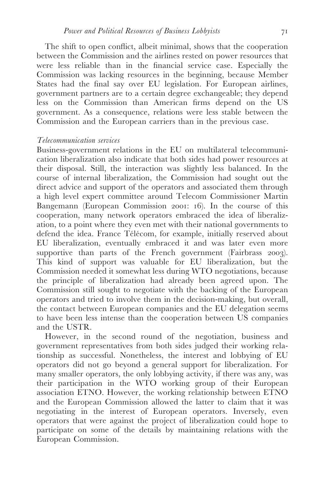The shift to open conflict, albeit minimal, shows that the cooperation between the Commission and the airlines rested on power resources that were less reliable than in the financial service case. Especially the Commission was lacking resources in the beginning, because Member States had the final say over EU legislation. For European airlines, government partners are to a certain degree exchangeable; they depend less on the Commission than American firms depend on the US government. As a consequence, relations were less stable between the Commission and the European carriers than in the previous case.

#### *Telecommunication services*

Business-government relations in the EU on multilateral telecommunication liberalization also indicate that both sides had power resources at their disposal. Still, the interaction was slightly less balanced. In the course of internal liberalization, the Commission had sought out the direct advice and support of the operators and associated them through a high level expert committee around Telecom Commissioner Martin Bangemann (European Commission 2001: 16). In the course of this cooperation, many network operators embraced the idea of liberalization, to a point where they even met with their national governments to defend the idea. France Télécom, for example, initially reserved about EU liberalization, eventually embraced it and was later even more supportive than parts of the French government (Fairbrass 2003). This kind of support was valuable for EU liberalization, but the Commission needed it somewhat less during WTO negotiations, because the principle of liberalization had already been agreed upon. The Commission still sought to negotiate with the backing of the European operators and tried to involve them in the decision-making, but overall, the contact between European companies and the EU delegation seems to have been less intense than the cooperation between US companies and the USTR.

However, in the second round of the negotiation, business and government representatives from both sides judged their working relationship as successful. Nonetheless, the interest and lobbying of EU operators did not go beyond a general support for liberalization. For many smaller operators, the only lobbying activity, if there was any, was their participation in the WTO working group of their European association ETNO. However, the working relationship between ETNO and the European Commission allowed the latter to claim that it was negotiating in the interest of European operators. Inversely, even operators that were against the project of liberalization could hope to participate on some of the details by maintaining relations with the European Commission.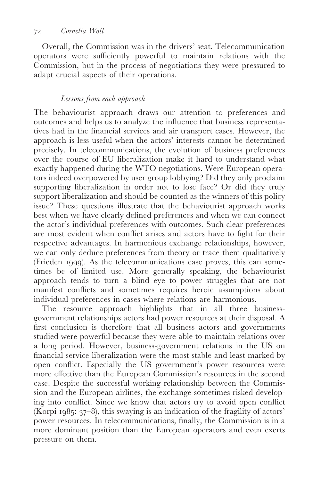Overall, the Commission was in the drivers' seat. Telecommunication operators were sufficiently powerful to maintain relations with the Commission, but in the process of negotiations they were pressured to adapt crucial aspects of their operations.

# *Lessons from each approach*

The behaviourist approach draws our attention to preferences and outcomes and helps us to analyze the influence that business representatives had in the financial services and air transport cases. However, the approach is less useful when the actors' interests cannot be determined precisely. In telecommunications, the evolution of business preferences over the course of EU liberalization make it hard to understand what exactly happened during the WTO negotiations. Were European operators indeed overpowered by user group lobbying? Did they only proclaim supporting liberalization in order not to lose face? Or did they truly support liberalization and should be counted as the winners of this policy issue? These questions illustrate that the behaviourist approach works best when we have clearly defined preferences and when we can connect the actor's individual preferences with outcomes. Such clear preferences are most evident when conflict arises and actors have to fight for their respective advantages. In harmonious exchange relationships, however, we can only deduce preferences from theory or trace them qualitatively (Frieden 1999). As the telecommunications case proves, this can sometimes be of limited use. More generally speaking, the behaviourist approach tends to turn a blind eye to power struggles that are not manifest conflicts and sometimes requires heroic assumptions about individual preferences in cases where relations are harmonious.

The resource approach highlights that in all three businessgovernment relationships actors had power resources at their disposal. A first conclusion is therefore that all business actors and governments studied were powerful because they were able to maintain relations over a long period. However, business-government relations in the US on financial service liberalization were the most stable and least marked by open conflict. Especially the US government's power resources were more effective than the European Commission's resources in the second case. Despite the successful working relationship between the Commission and the European airlines, the exchange sometimes risked developing into conflict. Since we know that actors try to avoid open conflict (Korpi  $1985: 37-8$ ), this swaying is an indication of the fragility of actors' power resources. In telecommunications, finally, the Commission is in a more dominant position than the European operators and even exerts pressure on them.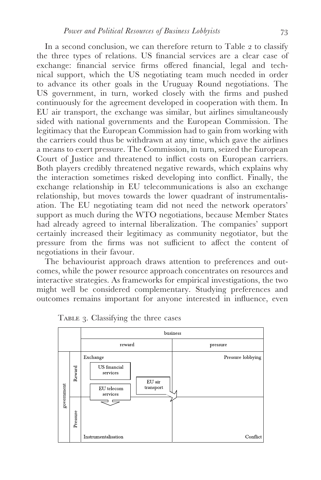In a second conclusion, we can therefore return to Table 2 to classify the three types of relations. US financial services are a clear case of exchange: financial service firms offered financial, legal and technical support, which the US negotiating team much needed in order to advance its other goals in the Uruguay Round negotiations. The US government, in turn, worked closely with the firms and pushed continuously for the agreement developed in cooperation with them. In EU air transport, the exchange was similar, but airlines simultaneously sided with national governments and the European Commission. The legitimacy that the European Commission had to gain from working with the carriers could thus be withdrawn at any time, which gave the airlines a means to exert pressure. The Commission, in turn, seized the European Court of Justice and threatened to inflict costs on European carriers. Both players credibly threatened negative rewards, which explains why the interaction sometimes risked developing into conflict. Finally, the exchange relationship in EU telecommunications is also an exchange relationship, but moves towards the lower quadrant of instrumentalisation. The EU negotiating team did not need the network operators' support as much during the WTO negotiations, because Member States had already agreed to internal liberalization. The companies' support certainly increased their legitimacy as community negotiator, but the pressure from the firms was not sufficient to affect the content of negotiations in their favour.

The behaviourist approach draws attention to preferences and outcomes, while the power resource approach concentrates on resources and interactive strategies. As frameworks for empirical investigations, the two might well be considered complementary. Studying preferences and outcomes remains important for anyone interested in influence, even



TABLE 3. Classifying the three cases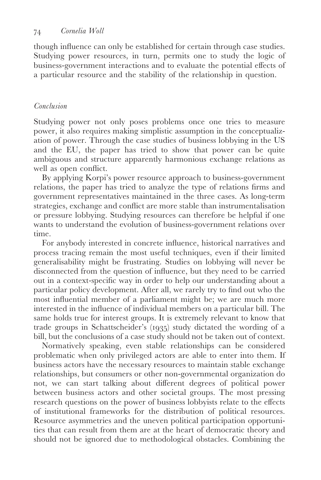though influence can only be established for certain through case studies. Studying power resources, in turn, permits one to study the logic of business-government interactions and to evaluate the potential effects of a particular resource and the stability of the relationship in question.

# *Conclusion*

Studying power not only poses problems once one tries to measure power, it also requires making simplistic assumption in the conceptualization of power. Through the case studies of business lobbying in the US and the EU, the paper has tried to show that power can be quite ambiguous and structure apparently harmonious exchange relations as well as open conflict.

By applying Korpi's power resource approach to business-government relations, the paper has tried to analyze the type of relations firms and government representatives maintained in the three cases. As long-term strategies, exchange and conflict are more stable than instrumentalisation or pressure lobbying. Studying resources can therefore be helpful if one wants to understand the evolution of business-government relations over time.

For anybody interested in concrete influence, historical narratives and process tracing remain the most useful techniques, even if their limited generalisability might be frustrating. Studies on lobbying will never be disconnected from the question of influence, but they need to be carried out in a context-specific way in order to help our understanding about a particular policy development. After all, we rarely try to find out who the most influential member of a parliament might be; we are much more interested in the influence of individual members on a particular bill. The same holds true for interest groups. It is extremely relevant to know that trade groups in Schattscheider's  $(1935)$  study dictated the wording of a bill, but the conclusions of a case study should not be taken out of context.

Normatively speaking, even stable relationships can be considered problematic when only privileged actors are able to enter into them. If business actors have the necessary resources to maintain stable exchange relationships, but consumers or other non-governmental organization do not, we can start talking about different degrees of political power between business actors and other societal groups. The most pressing research questions on the power of business lobbyists relate to the effects of institutional frameworks for the distribution of political resources. Resource asymmetries and the uneven political participation opportunities that can result from them are at the heart of democratic theory and should not be ignored due to methodological obstacles. Combining the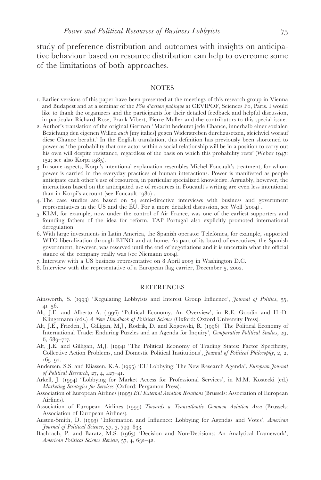study of preference distribution and outcomes with insights on anticipative behaviour based on resource distribution can help to overcome some of the limitations of both approaches.

#### **NOTES**

- . Earlier versions of this paper have been presented at the meetings of this research group in Vienna and Budapest and at a seminar of the *Pôle d'action publique* at CEVIPOF, Sciences Po, Paris. I would like to thank the organizers and the participants for their detailed feedback and helpful discussion, in particular Richard Rose, Frank Vibert, Pierre Muller and the contributors to this special issue.
- . Author's translation of the original German 'Macht bedeutet jede Chance, innerhalb einer sozialen Beziehung den eigenen Willen *auch* [my italics] gegen Widerstreben durchzusetzen, gleichviel worauf diese Chance beruht.' In the English translation, this definition has previously been shortened to power as 'the probability that one actor within a social relationship will be in a position to carry out his own will despite resistance, regardless of the basis on which this probability rests' (Weber 1947:  $152$ ; see also Korpi  $1985$ ).
- . In some aspects, Korpi's intentional explanation resembles Michel Foucault's treatment, for whom power is carried in the everyday practices of human interactions. Power is manifested as people anticipate each other's use of resources, in particular specialized knowledge. Arguably, however, the interactions based on the anticipated use of resources in Foucault's writing are even less intentional than in Korpi's account (see Foucault 1980).
- 4. The case studies are based on  $74$  semi-directive interviews with business and government representatives in the US and the EU. For a more detailed discussion, see Woll (2004).
- . KLM, for example, now under the control of Air France, was one of the earliest supporters and founding fathers of the idea for reform. TAP Portugal also explicitly promoted international deregulation.
- 6. With large investments in Latin America, the Spanish operator Telefónica, for example, supported WTO liberalization through ETNO and at home. As part of its board of executives, the Spanish government, however, was reserved until the end of negotiations and it is uncertain what the official stance of the company really was (see Niemann 2004).
- 7. Interview with a US business representative on 8 April 2003 in Washington D.C.
- 8. Interview with the representative of a European flag carrier, December 5, 2002.

#### **REFERENCES**

- Ainsworth, S. (1993) 'Regulating Lobbyists and Interest Group Influence', *Journal of Politics*, 55,  $41 - 56$ .
- Alt, J.E. and Alberto A. (1996) 'Political Economy: An Overview', in R.E. Goodin and H.-D. Klingemann (eds.) *A New Handbook of Political Science* (Oxford: Oxford University Press).
- Alt, J.E., Frieden, J., Gilligan, M.J., Rodrik, D. and Rogowski, R. (1996) 'The Political Economy of International Trade: Enduring Puzzles and an Agenda for Inquiry', *Comparative Political Studies*, 29,  $6,689-717.$
- Alt, J.E. and Gilligan, M.J. (1994) 'The Political Economy of Trading States: Factor Specificity, Collective Action Problems, and Domestic Political Institutions', *Journal of Political Philosophy*, 2, 2,  $165 - 92.$
- Andersen, S.S. and Eliassen, K.A. (1995) 'EU Lobbying: The New Research Agenda', *European Journal of Political Research*, 27, 4, 427-41.
- Arkell, J. (1994) 'Lobbying for Market Access for Professional Services', in M.M. Kostecki (ed.) *Marketing Strategies for Services* (Oxford: Pergamon Press).
- Association of European Airlines () *EU External Aviation Relations* (Brussels: Association of European Airlines).
- Association of European Airlines (1999) *Towards a Transatlantic Common Aviation Area* (Brussels: Association of European Airlines).
- Austen-Smith, D. () 'Information and Influence: Lobbying for Agendas and Votes', *American Journal of Political Science*, 37, 3, 799-833.
- Bachrach, P. and Baratz, M.S. (1963) 'Decision and Non-Decisions: An Analytical Framework', *American Political Science Review*, 57, 4, 632-42.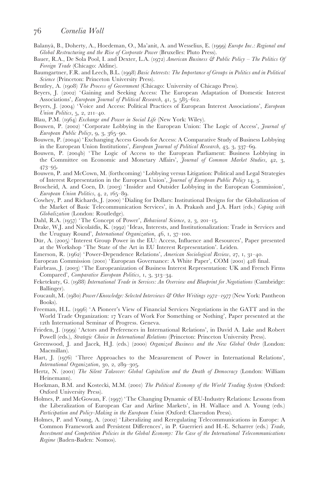- Balanya`, B., Doherty, A., Hoedeman, O., Ma'anit, A. and Wesselius, E. () *Europe Inc.: Regional and Global Restructuring and the Rise of Corporate Power* (Bruxelles: Pluto Press).
- Bauer, R.A., De Sola Pool, I. and Dexter, L.A. (1972) *American Business & Public Policy The Politics Of Foreign Trade* (Chicago: Aldine).
- Baumgartner, F.R. and Leech, B.L. () *Basic Interests: The Importance of Groups in Politics and in Political Science* (Princeton: Princeton University Press).
- Bentley, A. (1908) The Process of Government (Chicago: University of Chicago Press).
- Beyers, J. (2002) 'Gaining and Seeking Access: The European Adaptation of Domestic Interest Associations', *European Journal of Political Research*, 41, 5, 585-612.
- Beyers, J. (2004) 'Voice and Access: Political Practices of European Interest Associations', *European Union Politics*,  $5, 2, 211-40$ .
- Blau, P.M. (1964) *Exchange and Power in Social Life* (New York: Wiley).
- Bouwen, P. (2002) 'Corporate Lobbying in the European Union: The Logic of Access', *Journal of European Public Policy*, *9*, *3*, *365*-90.
- Bouwen, P. (2004a) 'Exchanging Access Goods for Access: A Comparative Study of Business Lobbying in the European Union Institutions', *European Journal of Political Research*, 43, 3, 337–69.
- Bouwen, P. (2004b) 'The Logic of Access to the European Parliament: Business Lobbying in the Committee on Economic and Monetary Affairs', *Journal of Common Market Studies*, 42, 3,  $473 - 95$
- Bouwen, P. and McCown, M. (forthcoming) 'Lobbying versus Litigation: Political and Legal Strategies of Interest Representation in the European Union', *Journal of European Public Policy* 14, 3.
- Broscheid, A. and Coen, D. (2003) 'Insider and Outsider Lobbying in the European Commission', *European Union Politics*, 4, 2, 165–89.
- Cowhey, P. and Richards, J. (2000) 'Dialing for Dollars: Institutional Designs for the Globalization of the Market of Basic Telecommunication Services', in A. Prakash and J.A. Hart (eds.) *Coping with Globalization* (London: Routledge).
- Dahl, R.A. (1957) 'The Concept of Power', *Behavioral Science*, 2, 3, 201-15.
- Drake, W.J. and Nicolaïdis, K. (1992) 'Ideas, Interests, and Institutionalization: Trade in Services and the Uruguay Round', *International Organization*, 46, 1, 37-100.
- Dür, A. (2005) 'Interest Group Power in the EU: Access, Influence and Resources', Paper presented at the Workshop 'The State of the Art in EU Interest Representation'. Leiden.
- Emerson, R. (1962) 'Power-Dependence Relations', *American Sociological Review*, 27, 1, 31-40.
- European Commission (2001) 'European Governance: A White Paper', COM (2001) 428 final.
- Fairbrass, J. (2003) 'The Europeanization of Business Interest Representation: UK and French Firms Compared', *Comparative European Politics*, 1, 3, 313-34.
- Feketekuty, G. () *International Trade in Services: An Overview and Blueprint for Negotiations* (Cambridge: Ballinger).
- Foucault, M. (1980) Power/Knowledge: Selected Interviews & Other Writings 1972–1977 (New York: Pantheon Books).
- Freeman, H.L. (1996) 'A Pioneer's View of Financial Services Negotiations in the GATT and in the World Trade Organization: Years of Work For Something or Nothing', Paper presented at the 12th International Seminar of Progress. Geneva.
- Frieden, J. (1999) 'Actors and Preferences in International Relations', in David A. Lake and Robert Powell (eds.), *Strategic Choice in International Relations* (Princeton: Princeton University Press).
- Greenwood, J. and Jacek, H.J. (eds.) (2000) *Organized Business and the New Global Order* (London: Macmillan).
- Hart, J. (1976) 'Three Approaches to the Measurement of Power in International Relations', *International Organization*, 30, 2, 289-305.
- Hertz, N. (2001) The Silent Takeover: Global Capitalism and the Death of Democracy (London: William Heinemann).
- Hoekman, B.M. and Kostecki, M.M. (2001) The Political Economy of the World Trading System (Oxford: Oxford University Press).
- Holmes, P. and McGowan, F. (1997) 'The Changing Dynamic of EU-Industry Relations: Lessons from the Liberalization of European Car and Airline Markets', in H. Wallace and A. Young (eds.) *Participation and Policy-Making in the European Union* (Oxford: Clarendon Press).
- Holmes, P. and Young, A. (2002) 'Liberalizing and Reregulating Telecommunications in Europe: A Common Framework and Persistent Differences', in P. Guerrieri and H.-E. Scharrer (eds.) *Trade, Investment and Competition Policies in the Global Economy: The Case of the International Telecommunications Regime* (Baden-Baden: Nomos).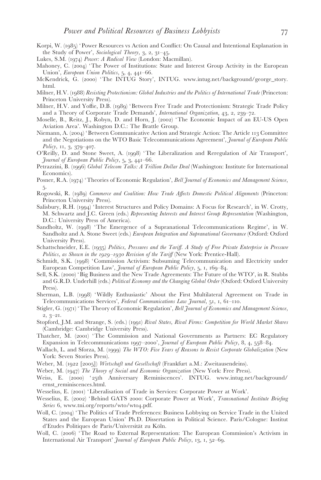- Korpi, W. (1985) 'Power Resources vs Action and Conflict: On Causal and Intentional Explanation in the Study of Power', *Sociological Theory*, 3, 2, 31-45.
- Lukes, S.M. (1974) *Power: A Radical View* (London: Macmillan).
- Mahoney, C. (2004) 'The Power of Institutions: State and Interest Group Activity in the European Union', *European Union Politics*, 5, 4, 441-66.
- McKendrick, G. (2000) 'The INTUG Story', INTUG. www.intug.net/background/george\_story. html.
- Milner, H.V. () *Resisting Protectionism: Global Industries and the Politics of International Trade* (Princeton: Princeton University Press).
- Milner, H.V. and Yoffie, D.B. (1989) 'Between Free Trade and Protectionism: Strategic Trade Policy and a Theory of Corporate Trade Demands', *International Organization*, 43, 2, 239–72.
- Moselle, B., Reitz, J., Robyn, D. and Horn, J. (2002) 'The Economic Impact of an EU-US Open Aviation Area'. Washington D.C.: The Brattle Group.
- Niemann, A. (2004) 'Between Communicative Action and Strategic Action: The Article 113 Committee and the Negotiations on the WTO Basic Telecommunications Agreement', *Journal of European Public*  $Policy$ , 11, 3, 379<sup>-407</sup>.
- O'Reilly, D. and Stone Sweet, A. (1998) 'The Liberalization and Reregulation of Air Transport', *Journal of European Public Policy*, 5, 3, 441–66.
- Petrazzini, B. (1996) *Global Telecom Talks: A Trillion Dollar Deal* (Washington: Institute for International Economics).
- Posner, R.A. (1974) 'Theories of Economic Regulation', *Bell Journal of Economics and Management Science*, 5.
- Rogowski, R. () *Commerce and Coalition: How Trade Affects Domestic Political Alignments* (Princeton: Princeton University Press).
- Salisbury, R.H. (1994) 'Interest Structures and Policy Domains: A Focus for Research', in W. Crotty, M. Schwartz and J.C. Green (eds.) *Representing Interests and Interest Group Representation* (Washington, D.C.: University Press of America).
- Sandholtz, W. (1998) 'The Emergence of a Supranational Telecommunications Regime', in W. Sandholtz and A. Stone Sweet (eds.) *European Integration and Supranational Governance* (Oxford: Oxford University Press).
- Schattschneider, E.E. () *Politics, Pressures and the Tariff. A Study of Free Private Enterprise in Pressure Politics, as Shown in the 1929–1930 Revision of the Tariff* (New York: Prentice-Hall).
- Schmidt, S.K. (1998) 'Commission Activism: Subsuming Telecommunication and Electricity under European Competition Law', *Journal of European Public Policy*, 5, 1, 169-84.
- Sell, S.K. (2000) 'Big Business and the New Trade Agreements: The Future of the WTO', in R. Stubbs and G.R.D. Underhill (eds.) *Political Economy and the Changing Global Order* (Oxford: Oxford University Press).
- Sherman, L.B. (1998) 'Wildly Enthusiastic' About the First Multilateral Agreement on Trade in Telecommunications Services', *Federal Communications Law Journal*, 51, 1, 61-110.
- Stigler, G. (1971) 'The Theory of Economic Regulation', *Bell Journal of Economics and Management Science*,  $2, 3-21.$
- Stopford, J.M. and Strange, S. (eds.) (1991) *Rival States, Rival Firms: Competition for World Market Shares* (Cambridge: Cambridge University Press).
- Thatcher, M. (2001) 'The Commission and National Governments as Partners: EC Regulatory Expansion in Telecommunications 1997–2000', *Journal of European Public Policy*, 8, 4, 558–84.
- Wallach, L. and Sforza, M. (1999) The WTO: Five Years of Reasons to Resist Corporate Globalization (New York: Seven Stories Press).
- Weber, M. (1922 [2005]) *Wirtschaft und Gesellschaft* (Frankfurt a.M.: Zweitausendeins).
- Weber, M. (1947) *The Theory of Social and Economic Organization* (New York: Free Press).
- Weiss, E. (2000) '25th Anniversary Reminiscences'. INTUG. www.intug.net/background/ ernst\_reminiscences.html.
- Wesselius, E. (2001) 'Liberalisation of Trade in Services: Corporate Power at Work'.
- Wesselius, E. (2002) 'Behind GATS 2000: Corporate Power at Work', *Transnational Institute Briefing Series* 6, www.tni.org/reports/wto/wto4.pdf.
- Woll, C. (2004) 'The Politics of Trade Preferences: Business Lobbying on Service Trade in the United States and the European Union' Ph.D. Dissertation in Political Science. Paris/Cologne: Institut d'Etudes Politiques de Paris/Universität zu Köln.
- Woll, C. (2006) 'The Road to External Representation: The European Commission's Activism in International Air Transport' *Journal of European Public Policy*, 13, 1, 52-69.